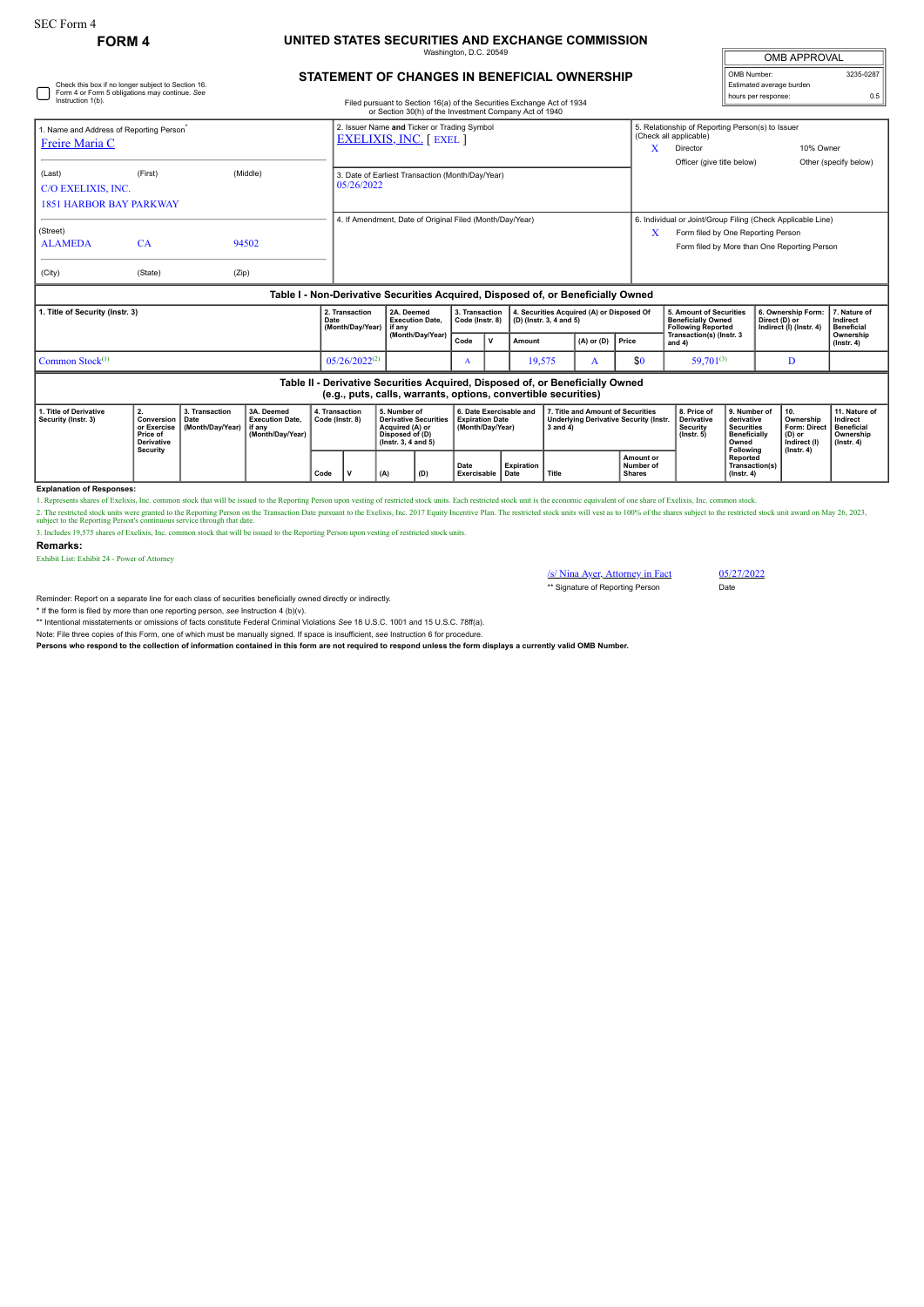Check this box if no longer subject to Section 16. Form 4 or Form 5 obligations may continue. *See*

## **FORM 4 UNITED STATES SECURITIES AND EXCHANGE COMMISSION** ington, D.C. 20

| <b>OMB APPROVAL</b>      |           |  |  |  |  |  |
|--------------------------|-----------|--|--|--|--|--|
| OMB Number:              | 3235-0287 |  |  |  |  |  |
| Estimated average burden |           |  |  |  |  |  |
| hours per response:      | 0.5       |  |  |  |  |  |

## **STATEMENT OF CHANGES IN BENEFICIAL OWNERSHIP**

| Instruction 1(b).                                                                                                                               |                                                                              |                                            |                                                                                  |                                   |                                                                |                                                                                                                 | Filed pursuant to Section 16(a) of the Securities Exchange Act of 1934<br>or Section 30(h) of the Investment Company Act of 1940 |                                                                       |              |                   |                                                                                                    |                                           |                                                                                                                                                   |                                                                                                          |                                                                                              | noaro por rooponoa |                                                                                |                                                                                 |  |
|-------------------------------------------------------------------------------------------------------------------------------------------------|------------------------------------------------------------------------------|--------------------------------------------|----------------------------------------------------------------------------------|-----------------------------------|----------------------------------------------------------------|-----------------------------------------------------------------------------------------------------------------|----------------------------------------------------------------------------------------------------------------------------------|-----------------------------------------------------------------------|--------------|-------------------|----------------------------------------------------------------------------------------------------|-------------------------------------------|---------------------------------------------------------------------------------------------------------------------------------------------------|----------------------------------------------------------------------------------------------------------|----------------------------------------------------------------------------------------------|--------------------|--------------------------------------------------------------------------------|---------------------------------------------------------------------------------|--|
| 1. Name and Address of Reporting Person <sup>®</sup><br>Freire Maria C                                                                          |                                                                              |                                            |                                                                                  |                                   |                                                                | 2. Issuer Name and Ticker or Trading Symbol<br><b>EXELIXIS, INC. [EXEL]</b>                                     |                                                                                                                                  |                                                                       |              |                   |                                                                                                    |                                           |                                                                                                                                                   | 5. Relationship of Reporting Person(s) to Issuer<br>(Check all applicable)<br>10% Owner<br>X<br>Director |                                                                                              |                    |                                                                                |                                                                                 |  |
| (Last)<br>C/O EXELIXIS, INC.<br><b>1851 HARBOR BAY PARKWAY</b>                                                                                  | (First)                                                                      |                                            | (Middle)                                                                         |                                   | 3. Date of Earliest Transaction (Month/Day/Year)<br>05/26/2022 |                                                                                                                 |                                                                                                                                  |                                                                       |              |                   |                                                                                                    |                                           |                                                                                                                                                   | Officer (give title below)                                                                               |                                                                                              |                    |                                                                                | Other (specify below)                                                           |  |
| (Street)<br><b>ALAMEDA</b><br>(City)                                                                                                            | CA<br>(State)                                                                | (Zip)                                      | 94502                                                                            |                                   | 4. If Amendment, Date of Original Filed (Month/Day/Year)       |                                                                                                                 |                                                                                                                                  |                                                                       |              |                   |                                                                                                    | X                                         | 6. Individual or Joint/Group Filing (Check Applicable Line)<br>Form filed by One Reporting Person<br>Form filed by More than One Reporting Person |                                                                                                          |                                                                                              |                    |                                                                                |                                                                                 |  |
|                                                                                                                                                 |                                                                              |                                            | Table I - Non-Derivative Securities Acquired, Disposed of, or Beneficially Owned |                                   |                                                                |                                                                                                                 |                                                                                                                                  |                                                                       |              |                   |                                                                                                    |                                           |                                                                                                                                                   |                                                                                                          |                                                                                              |                    |                                                                                |                                                                                 |  |
| 1. Title of Security (Instr. 3)                                                                                                                 |                                                                              |                                            |                                                                                  | Date                              | 2. Transaction<br>(Month/Day/Year)                             | 2A. Deemed<br><b>Execution Date.</b><br>if anv                                                                  |                                                                                                                                  | 3. Transaction<br>Code (Instr. 8)                                     |              |                   | (D) (Instr. 3, 4 and 5)                                                                            | 4. Securities Acquired (A) or Disposed Of |                                                                                                                                                   |                                                                                                          | 5. Amount of Securities<br><b>Beneficially Owned</b><br><b>Following Reported</b>            |                    | 6. Ownership Form:<br>Direct (D) or<br>Indirect (I) (Instr. 4)                 | 7. Nature of<br>Indirect<br><b>Beneficial</b>                                   |  |
|                                                                                                                                                 |                                                                              |                                            |                                                                                  |                                   |                                                                | (Month/Day/Year)                                                                                                |                                                                                                                                  | Code                                                                  | $\mathbf{v}$ | Amount            |                                                                                                    | $(A)$ or $(D)$                            | Price                                                                                                                                             | Transaction(s) (Instr. 3<br>and 4)                                                                       |                                                                                              |                    |                                                                                | Ownership<br>$($ Instr. 4 $)$                                                   |  |
| Common Stock <sup>(1)</sup><br>$05/26/2022^{(2)}$                                                                                               |                                                                              |                                            |                                                                                  |                                   |                                                                |                                                                                                                 |                                                                                                                                  | A                                                                     |              | 19,575            |                                                                                                    | A                                         | \$0<br>$59.701^{(3)}$                                                                                                                             |                                                                                                          | D                                                                                            |                    |                                                                                |                                                                                 |  |
| Table II - Derivative Securities Acquired, Disposed of, or Beneficially Owned<br>(e.g., puts, calls, warrants, options, convertible securities) |                                                                              |                                            |                                                                                  |                                   |                                                                |                                                                                                                 |                                                                                                                                  |                                                                       |              |                   |                                                                                                    |                                           |                                                                                                                                                   |                                                                                                          |                                                                                              |                    |                                                                                |                                                                                 |  |
| 1. Title of Derivative<br>Security (Instr. 3)                                                                                                   | 2.<br>Conversion<br>or Exercise<br>Price of<br><b>Derivative</b><br>Security | 3. Transaction<br>Date<br>(Month/Dav/Year) | 3A. Deemed<br><b>Execution Date.</b><br>if anv<br>(Month/Dav/Year)               | 4. Transaction<br>Code (Instr. 8) |                                                                | 5. Number of<br><b>Derivative Securities</b><br>Acquired (A) or<br>Disposed of (D)<br>$($ lnstr. 3, 4 and 5 $)$ |                                                                                                                                  | 6. Date Exercisable and<br><b>Expiration Date</b><br>(Month/Day/Year) |              |                   | 7. Title and Amount of Securities<br><b>Underlying Derivative Security (Instr.</b><br>$3$ and $4)$ |                                           |                                                                                                                                                   | 8. Price of<br><b>Derivative</b><br>Security<br>$($ lnstr. $5)$                                          | 9. Number of<br>derivative<br><b>Securities</b><br><b>Beneficially</b><br>Owned<br>Following |                    | 10.<br>Ownership<br>Form: Direct<br>(D) or<br>Indirect (I)<br>$($ Instr. 4 $)$ | 11. Nature of<br>Indirect<br><b>Beneficial</b><br>Ownership<br>$($ Instr. 4 $)$ |  |
|                                                                                                                                                 |                                                                              |                                            | Code                                                                             |                                   |                                                                | v<br>(A)<br>(D)                                                                                                 |                                                                                                                                  | Date<br>Exercisable Date                                              |              | <b>Expiration</b> | Title                                                                                              |                                           | Amount or<br>Number of<br><b>Shares</b>                                                                                                           |                                                                                                          | Reported<br>Transaction(s)<br>$($ Instr. 4 $)$                                               |                    |                                                                                |                                                                                 |  |

## **Explanation of Responses:**

1. Represents shares of Exelixis, Inc. common stock that will be issued to the Reporting Person upon vesting of restricted stock units. Each restricted stock unit is the economic equivalent of one share of Exelixis, Inc. c

2. The restricted stock units were granted to the Reporting Person on the Transaction Date pursuant to the Exelixis, Inc. 2017 Equity Incentive Plan. The restricted stock units will vest as to 100% of the shares subject to

**Remarks:**

Exhibit List: Exhibit 24 - Power of Attorney

/s/ Nina Ayer, Attorney in Fact 05/27/2022 \*\* Signature of Reporting Person Date

Reminder: Report on a separate line for each class of securities beneficially owned directly or indirectly.

\* If the form is filed by more than one reporting person, *see* Instruction 4 (b)(v).

\*\* Intentional misstatements or omissions of facts constitute Federal Criminal Violations *See* 18 U.S.C. 1001 and 15 U.S.C. 78ff(a).

Note: File three copies of this Form, one of which must be manually signed. If space is insufficient, *see* Instruction 6 for procedure.

**Persons who respond to the collection of information contained in this form are not required to respond unless the form displays a currently valid OMB Number.**